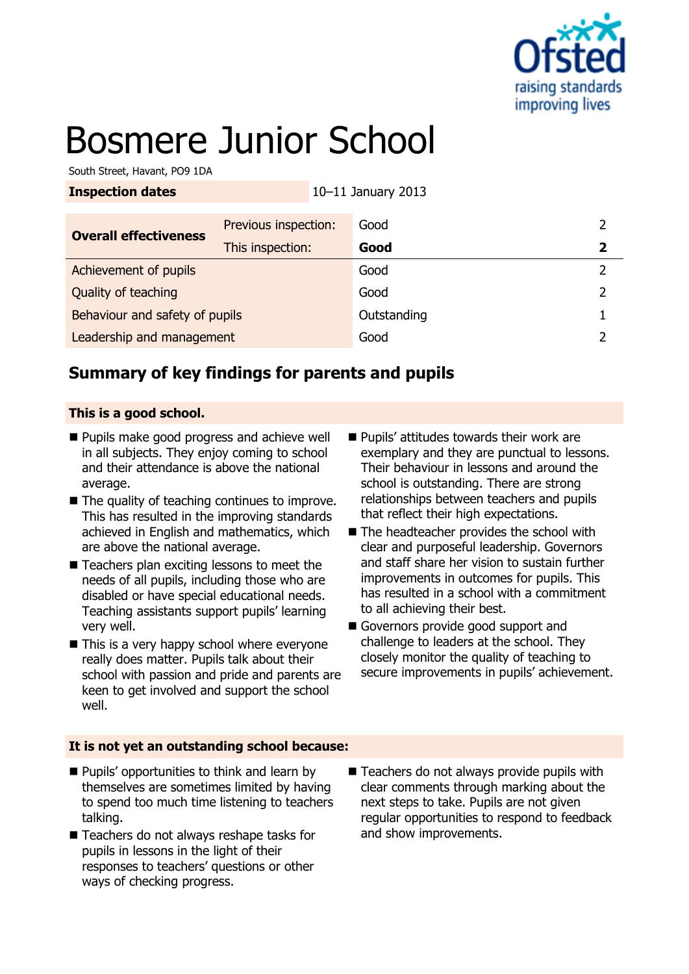

# Bosmere Junior School

South Street, Havant, PO9 1DA

| <b>Inspection dates</b>        |                      | 10-11 January 2013 |                |
|--------------------------------|----------------------|--------------------|----------------|
| <b>Overall effectiveness</b>   | Previous inspection: | Good               | 2              |
|                                | This inspection:     | Good               | $\overline{2}$ |
| Achievement of pupils          |                      | Good               | $\overline{2}$ |
| Quality of teaching            |                      | Good               | 2              |
| Behaviour and safety of pupils |                      | Outstanding        |                |
| Leadership and management      |                      | Good               |                |

## **Summary of key findings for parents and pupils**

#### **This is a good school.**

- **Pupils make good progress and achieve well** in all subjects. They enjoy coming to school and their attendance is above the national average.
- $\blacksquare$  The quality of teaching continues to improve. This has resulted in the improving standards achieved in English and mathematics, which are above the national average.
- Teachers plan exciting lessons to meet the needs of all pupils, including those who are disabled or have special educational needs. Teaching assistants support pupils' learning very well.
- $\blacksquare$  This is a very happy school where everyone really does matter. Pupils talk about their school with passion and pride and parents are keen to get involved and support the school well.
- **Pupils' attitudes towards their work are** exemplary and they are punctual to lessons. Their behaviour in lessons and around the school is outstanding. There are strong relationships between teachers and pupils that reflect their high expectations.
- The headteacher provides the school with clear and purposeful leadership. Governors and staff share her vision to sustain further improvements in outcomes for pupils. This has resulted in a school with a commitment to all achieving their best.
- Governors provide good support and challenge to leaders at the school. They closely monitor the quality of teaching to secure improvements in pupils' achievement.

#### **It is not yet an outstanding school because:**

- **Pupils' opportunities to think and learn by** themselves are sometimes limited by having to spend too much time listening to teachers talking.
- Teachers do not always reshape tasks for pupils in lessons in the light of their responses to teachers' questions or other ways of checking progress.
- Teachers do not always provide pupils with clear comments through marking about the next steps to take. Pupils are not given regular opportunities to respond to feedback and show improvements.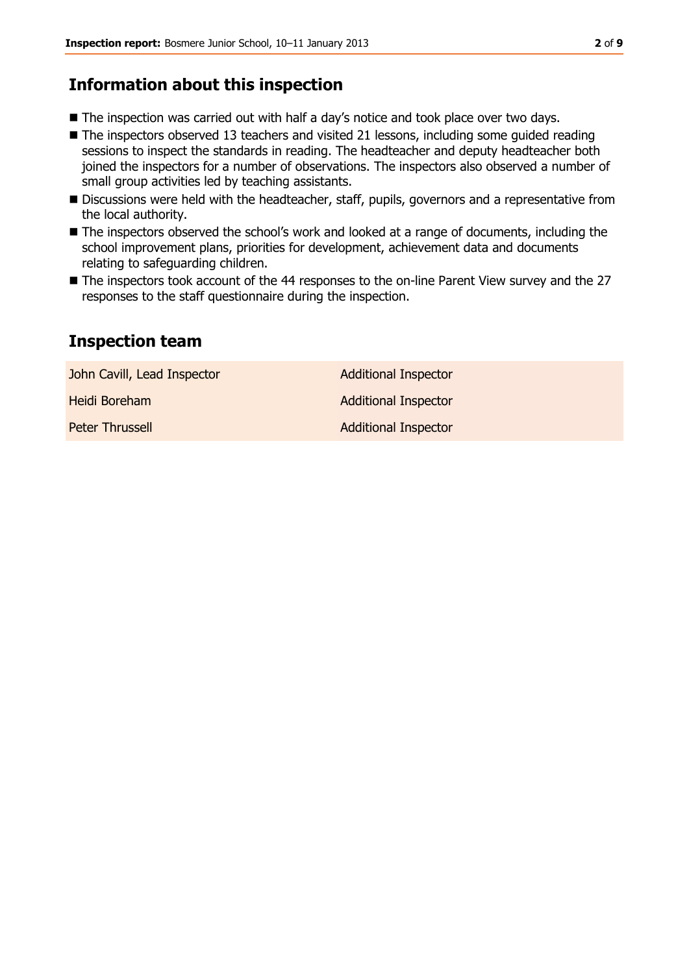## **Information about this inspection**

- The inspection was carried out with half a day's notice and took place over two days.
- The inspectors observed 13 teachers and visited 21 lessons, including some quided reading sessions to inspect the standards in reading. The headteacher and deputy headteacher both joined the inspectors for a number of observations. The inspectors also observed a number of small group activities led by teaching assistants.
- Discussions were held with the headteacher, staff, pupils, governors and a representative from the local authority.
- The inspectors observed the school's work and looked at a range of documents, including the school improvement plans, priorities for development, achievement data and documents relating to safeguarding children.
- The inspectors took account of the 44 responses to the on-line Parent View survey and the 27 responses to the staff questionnaire during the inspection.

## **Inspection team**

| John Cavill, Lead Inspector | <b>Additional Inspector</b> |
|-----------------------------|-----------------------------|
| Heidi Boreham               | <b>Additional Inspector</b> |
| Peter Thrussell             | <b>Additional Inspector</b> |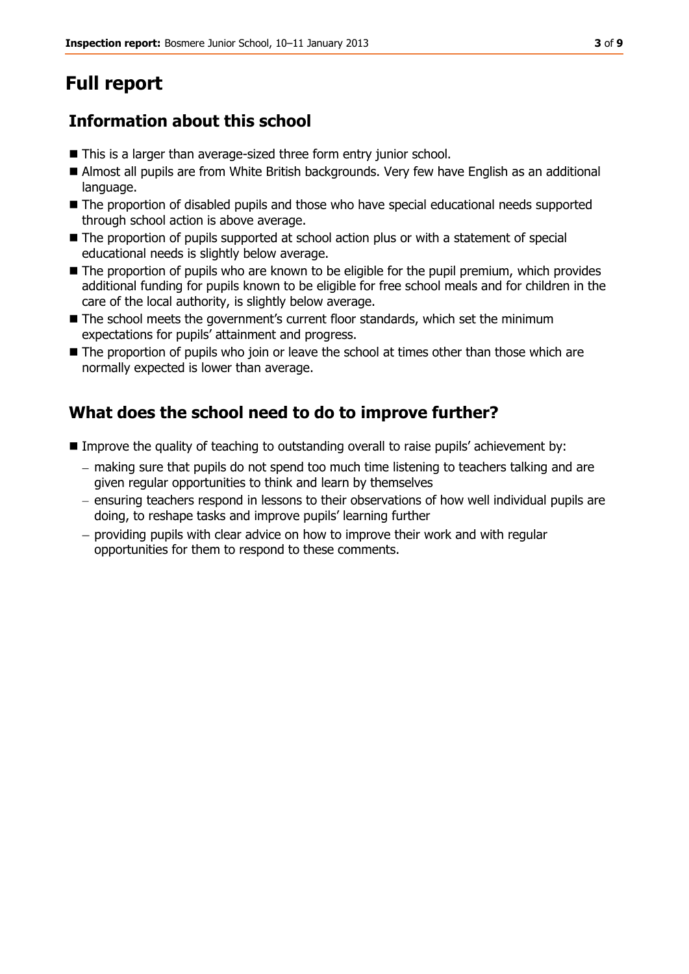# **Full report**

## **Information about this school**

- This is a larger than average-sized three form entry junior school.
- Almost all pupils are from White British backgrounds. Very few have English as an additional language.
- The proportion of disabled pupils and those who have special educational needs supported through school action is above average.
- $\blacksquare$  The proportion of pupils supported at school action plus or with a statement of special educational needs is slightly below average.
- The proportion of pupils who are known to be eligible for the pupil premium, which provides additional funding for pupils known to be eligible for free school meals and for children in the care of the local authority, is slightly below average.
- The school meets the government's current floor standards, which set the minimum expectations for pupils' attainment and progress.
- The proportion of pupils who join or leave the school at times other than those which are normally expected is lower than average.

## **What does the school need to do to improve further?**

- Improve the quality of teaching to outstanding overall to raise pupils' achievement by:
	- making sure that pupils do not spend too much time listening to teachers talking and are given regular opportunities to think and learn by themselves
	- ensuring teachers respond in lessons to their observations of how well individual pupils are doing, to reshape tasks and improve pupils' learning further
	- $-$  providing pupils with clear advice on how to improve their work and with regular opportunities for them to respond to these comments.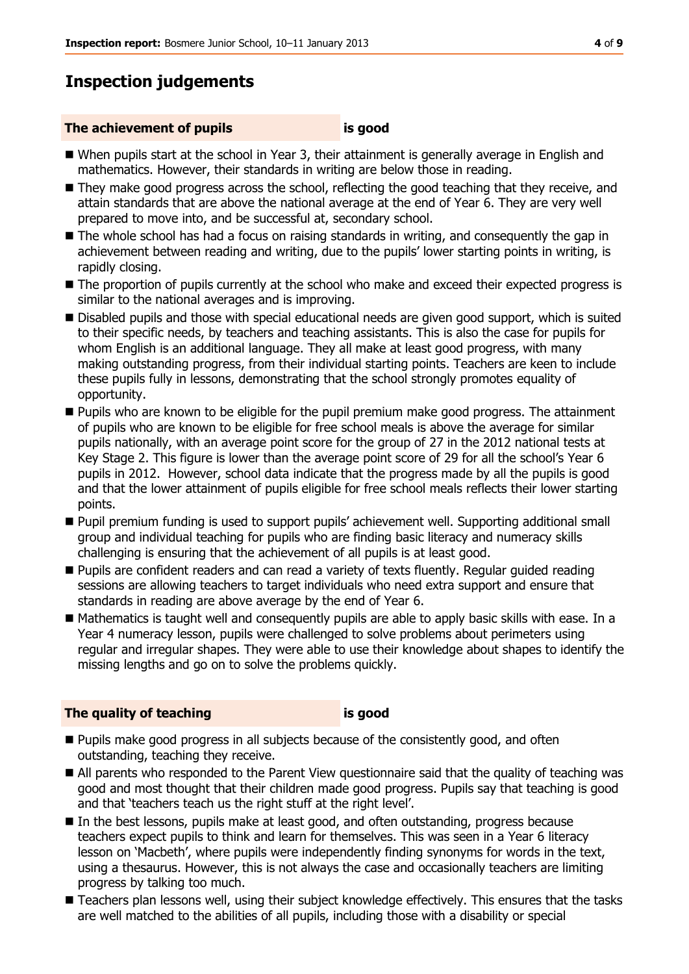### **Inspection judgements**

#### **The achievement of pupils is good**

- When pupils start at the school in Year 3, their attainment is generally average in English and mathematics. However, their standards in writing are below those in reading.
- They make good progress across the school, reflecting the good teaching that they receive, and attain standards that are above the national average at the end of Year 6. They are very well prepared to move into, and be successful at, secondary school.
- The whole school has had a focus on raising standards in writing, and consequently the gap in achievement between reading and writing, due to the pupils' lower starting points in writing, is rapidly closing.
- The proportion of pupils currently at the school who make and exceed their expected progress is similar to the national averages and is improving.
- Disabled pupils and those with special educational needs are given good support, which is suited to their specific needs, by teachers and teaching assistants. This is also the case for pupils for whom English is an additional language. They all make at least good progress, with many making outstanding progress, from their individual starting points. Teachers are keen to include these pupils fully in lessons, demonstrating that the school strongly promotes equality of opportunity.
- **Pupils who are known to be eligible for the pupil premium make good progress. The attainment** of pupils who are known to be eligible for free school meals is above the average for similar pupils nationally, with an average point score for the group of 27 in the 2012 national tests at Key Stage 2. This figure is lower than the average point score of 29 for all the school's Year 6 pupils in 2012. However, school data indicate that the progress made by all the pupils is good and that the lower attainment of pupils eligible for free school meals reflects their lower starting points.
- Pupil premium funding is used to support pupils' achievement well. Supporting additional small group and individual teaching for pupils who are finding basic literacy and numeracy skills challenging is ensuring that the achievement of all pupils is at least good.
- Pupils are confident readers and can read a variety of texts fluently. Regular guided reading sessions are allowing teachers to target individuals who need extra support and ensure that standards in reading are above average by the end of Year 6.
- Mathematics is taught well and consequently pupils are able to apply basic skills with ease. In a Year 4 numeracy lesson, pupils were challenged to solve problems about perimeters using regular and irregular shapes. They were able to use their knowledge about shapes to identify the missing lengths and go on to solve the problems quickly.

#### **The quality of teaching is good**

- **Pupils make good progress in all subjects because of the consistently good, and often** outstanding, teaching they receive.
- All parents who responded to the Parent View questionnaire said that the quality of teaching was good and most thought that their children made good progress. Pupils say that teaching is good and that 'teachers teach us the right stuff at the right level'.
- In the best lessons, pupils make at least good, and often outstanding, progress because teachers expect pupils to think and learn for themselves. This was seen in a Year 6 literacy lesson on 'Macbeth', where pupils were independently finding synonyms for words in the text, using a thesaurus. However, this is not always the case and occasionally teachers are limiting progress by talking too much.
- Teachers plan lessons well, using their subject knowledge effectively. This ensures that the tasks are well matched to the abilities of all pupils, including those with a disability or special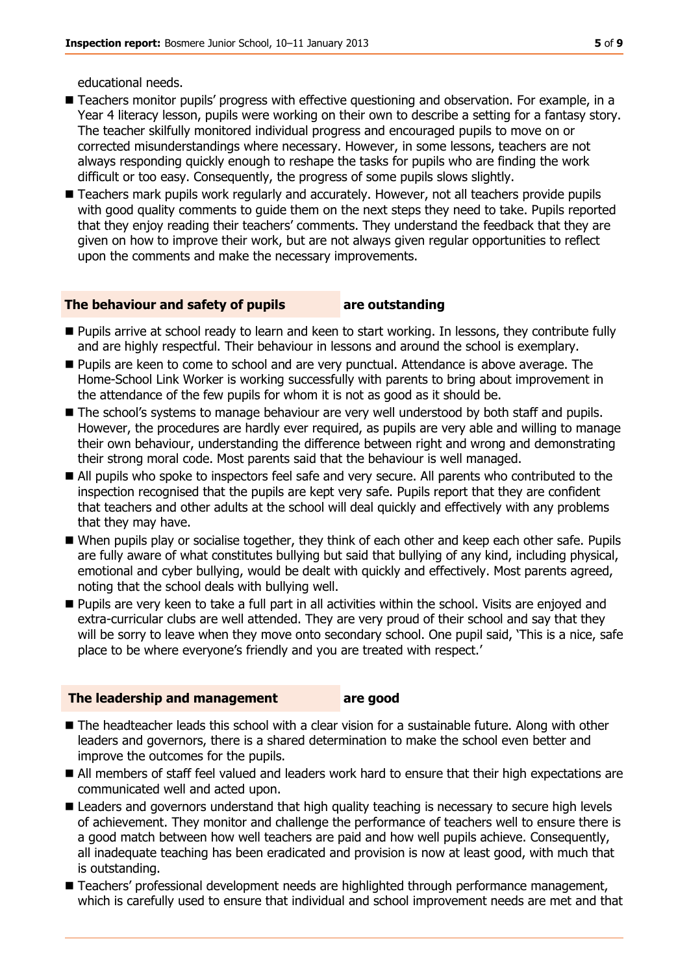- Teachers monitor pupils' progress with effective questioning and observation. For example, in a Year 4 literacy lesson, pupils were working on their own to describe a setting for a fantasy story. The teacher skilfully monitored individual progress and encouraged pupils to move on or corrected misunderstandings where necessary. However, in some lessons, teachers are not always responding quickly enough to reshape the tasks for pupils who are finding the work difficult or too easy. Consequently, the progress of some pupils slows slightly.
- Teachers mark pupils work regularly and accurately. However, not all teachers provide pupils with good quality comments to quide them on the next steps they need to take. Pupils reported that they enjoy reading their teachers' comments. They understand the feedback that they are given on how to improve their work, but are not always given regular opportunities to reflect upon the comments and make the necessary improvements.

#### **The behaviour and safety of pupils are outstanding**

- **Pupils arrive at school ready to learn and keen to start working. In lessons, they contribute fully** and are highly respectful. Their behaviour in lessons and around the school is exemplary.
- **Pupils are keen to come to school and are very punctual. Attendance is above average. The** Home-School Link Worker is working successfully with parents to bring about improvement in the attendance of the few pupils for whom it is not as good as it should be.
- The school's systems to manage behaviour are very well understood by both staff and pupils. However, the procedures are hardly ever required, as pupils are very able and willing to manage their own behaviour, understanding the difference between right and wrong and demonstrating their strong moral code. Most parents said that the behaviour is well managed.
- All pupils who spoke to inspectors feel safe and very secure. All parents who contributed to the inspection recognised that the pupils are kept very safe. Pupils report that they are confident that teachers and other adults at the school will deal quickly and effectively with any problems that they may have.
- When pupils play or socialise together, they think of each other and keep each other safe. Pupils are fully aware of what constitutes bullying but said that bullying of any kind, including physical, emotional and cyber bullying, would be dealt with quickly and effectively. Most parents agreed, noting that the school deals with bullying well.
- **Pupils are very keen to take a full part in all activities within the school. Visits are enjoyed and** extra-curricular clubs are well attended. They are very proud of their school and say that they will be sorry to leave when they move onto secondary school. One pupil said, 'This is a nice, safe place to be where everyone's friendly and you are treated with respect.'

#### **The leadership and management are good**

- **The headteacher leads this school with a clear vision for a sustainable future. Along with other** leaders and governors, there is a shared determination to make the school even better and improve the outcomes for the pupils.
	- All members of staff feel valued and leaders work hard to ensure that their high expectations are communicated well and acted upon.
	- **E** Leaders and governors understand that high quality teaching is necessary to secure high levels of achievement. They monitor and challenge the performance of teachers well to ensure there is a good match between how well teachers are paid and how well pupils achieve. Consequently, all inadequate teaching has been eradicated and provision is now at least good, with much that is outstanding.
	- Teachers' professional development needs are highlighted through performance management, which is carefully used to ensure that individual and school improvement needs are met and that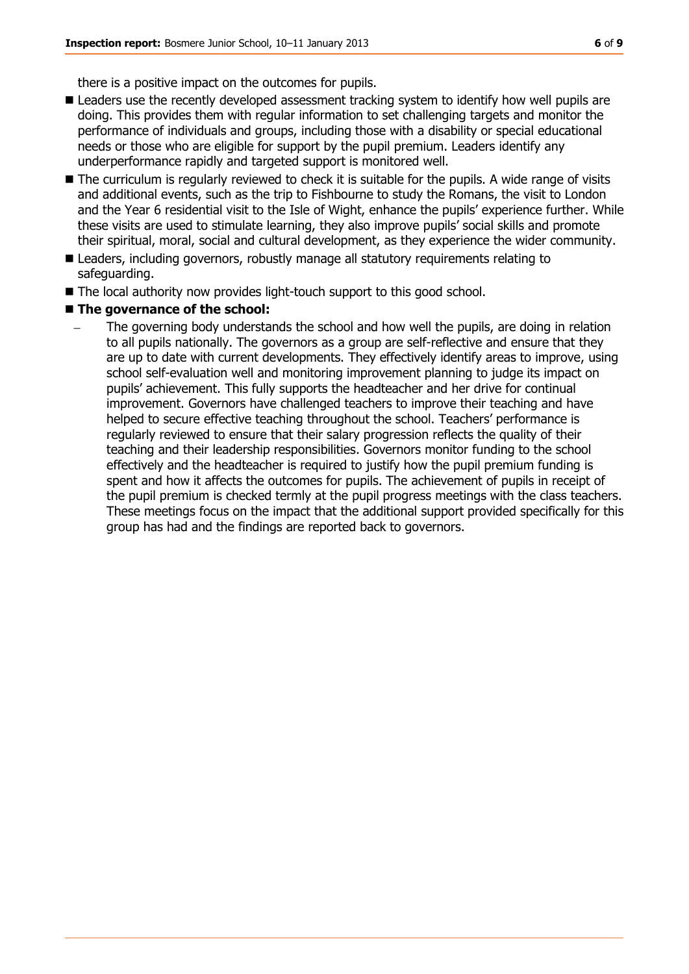there is a positive impact on the outcomes for pupils.

- **Leaders use the recently developed assessment tracking system to identify how well pupils are** doing. This provides them with regular information to set challenging targets and monitor the performance of individuals and groups, including those with a disability or special educational needs or those who are eligible for support by the pupil premium. Leaders identify any underperformance rapidly and targeted support is monitored well.
- The curriculum is regularly reviewed to check it is suitable for the pupils. A wide range of visits and additional events, such as the trip to Fishbourne to study the Romans, the visit to London and the Year 6 residential visit to the Isle of Wight, enhance the pupils' experience further. While these visits are used to stimulate learning, they also improve pupils' social skills and promote their spiritual, moral, social and cultural development, as they experience the wider community.
- Leaders, including governors, robustly manage all statutory requirements relating to safeguarding.
- The local authority now provides light-touch support to this good school.
- The governance of the school:
	- The governing body understands the school and how well the pupils, are doing in relation to all pupils nationally. The governors as a group are self-reflective and ensure that they are up to date with current developments. They effectively identify areas to improve, using school self-evaluation well and monitoring improvement planning to judge its impact on pupils' achievement. This fully supports the headteacher and her drive for continual improvement. Governors have challenged teachers to improve their teaching and have helped to secure effective teaching throughout the school. Teachers' performance is regularly reviewed to ensure that their salary progression reflects the quality of their teaching and their leadership responsibilities. Governors monitor funding to the school effectively and the headteacher is required to justify how the pupil premium funding is spent and how it affects the outcomes for pupils. The achievement of pupils in receipt of the pupil premium is checked termly at the pupil progress meetings with the class teachers. These meetings focus on the impact that the additional support provided specifically for this group has had and the findings are reported back to governors.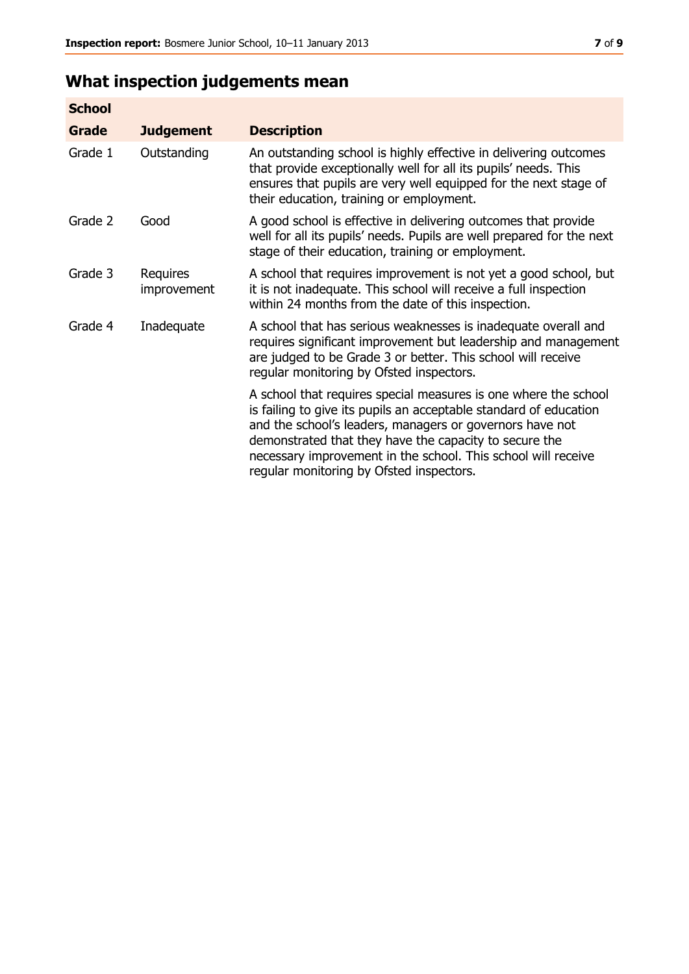## **What inspection judgements mean**

| <b>School</b> |                         |                                                                                                                                                                                                                                                                                                                                                                         |
|---------------|-------------------------|-------------------------------------------------------------------------------------------------------------------------------------------------------------------------------------------------------------------------------------------------------------------------------------------------------------------------------------------------------------------------|
| Grade         | <b>Judgement</b>        | <b>Description</b>                                                                                                                                                                                                                                                                                                                                                      |
| Grade 1       | Outstanding             | An outstanding school is highly effective in delivering outcomes<br>that provide exceptionally well for all its pupils' needs. This<br>ensures that pupils are very well equipped for the next stage of<br>their education, training or employment.                                                                                                                     |
| Grade 2       | Good                    | A good school is effective in delivering outcomes that provide<br>well for all its pupils' needs. Pupils are well prepared for the next<br>stage of their education, training or employment.                                                                                                                                                                            |
| Grade 3       | Requires<br>improvement | A school that requires improvement is not yet a good school, but<br>it is not inadequate. This school will receive a full inspection<br>within 24 months from the date of this inspection.                                                                                                                                                                              |
| Grade 4       | Inadequate              | A school that has serious weaknesses is inadequate overall and<br>requires significant improvement but leadership and management<br>are judged to be Grade 3 or better. This school will receive<br>regular monitoring by Ofsted inspectors.                                                                                                                            |
|               |                         | A school that requires special measures is one where the school<br>is failing to give its pupils an acceptable standard of education<br>and the school's leaders, managers or governors have not<br>demonstrated that they have the capacity to secure the<br>necessary improvement in the school. This school will receive<br>regular monitoring by Ofsted inspectors. |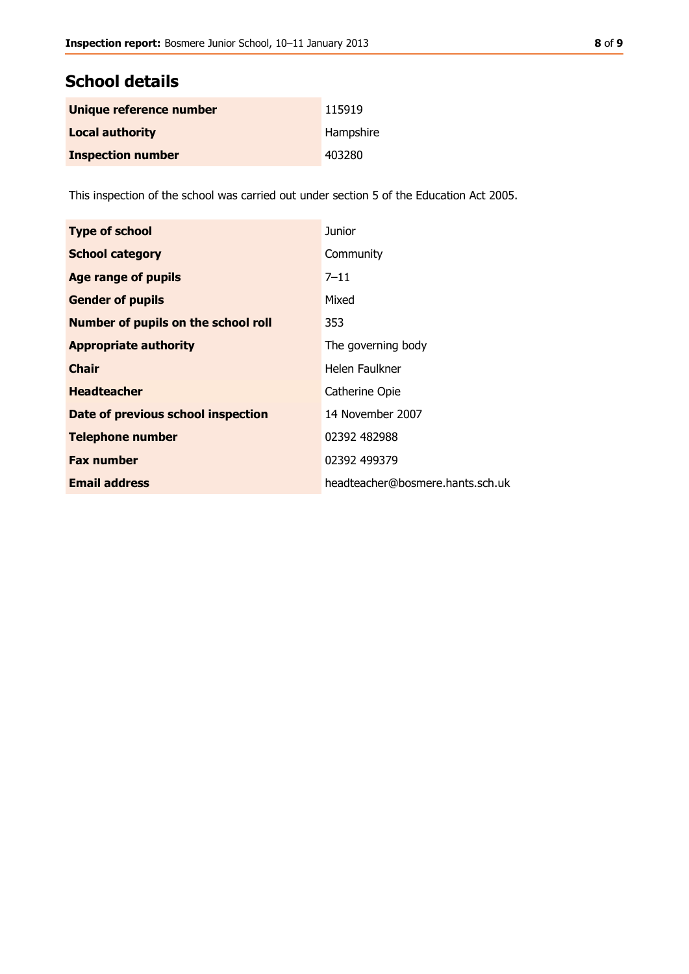| Unique reference number  | 115919    |
|--------------------------|-----------|
| <b>Local authority</b>   | Hampshire |
| <b>Inspection number</b> | 403280    |

This inspection of the school was carried out under section 5 of the Education Act 2005.

| <b>Type of school</b>               | Junior                           |
|-------------------------------------|----------------------------------|
| <b>School category</b>              | Community                        |
| Age range of pupils                 | $7 - 11$                         |
| <b>Gender of pupils</b>             | Mixed                            |
| Number of pupils on the school roll | 353                              |
| <b>Appropriate authority</b>        | The governing body               |
| <b>Chair</b>                        | Helen Faulkner                   |
| <b>Headteacher</b>                  | Catherine Opie                   |
| Date of previous school inspection  | 14 November 2007                 |
| <b>Telephone number</b>             | 02392 482988                     |
| <b>Fax number</b>                   | 02392 499379                     |
| <b>Email address</b>                | headteacher@bosmere.hants.sch.uk |